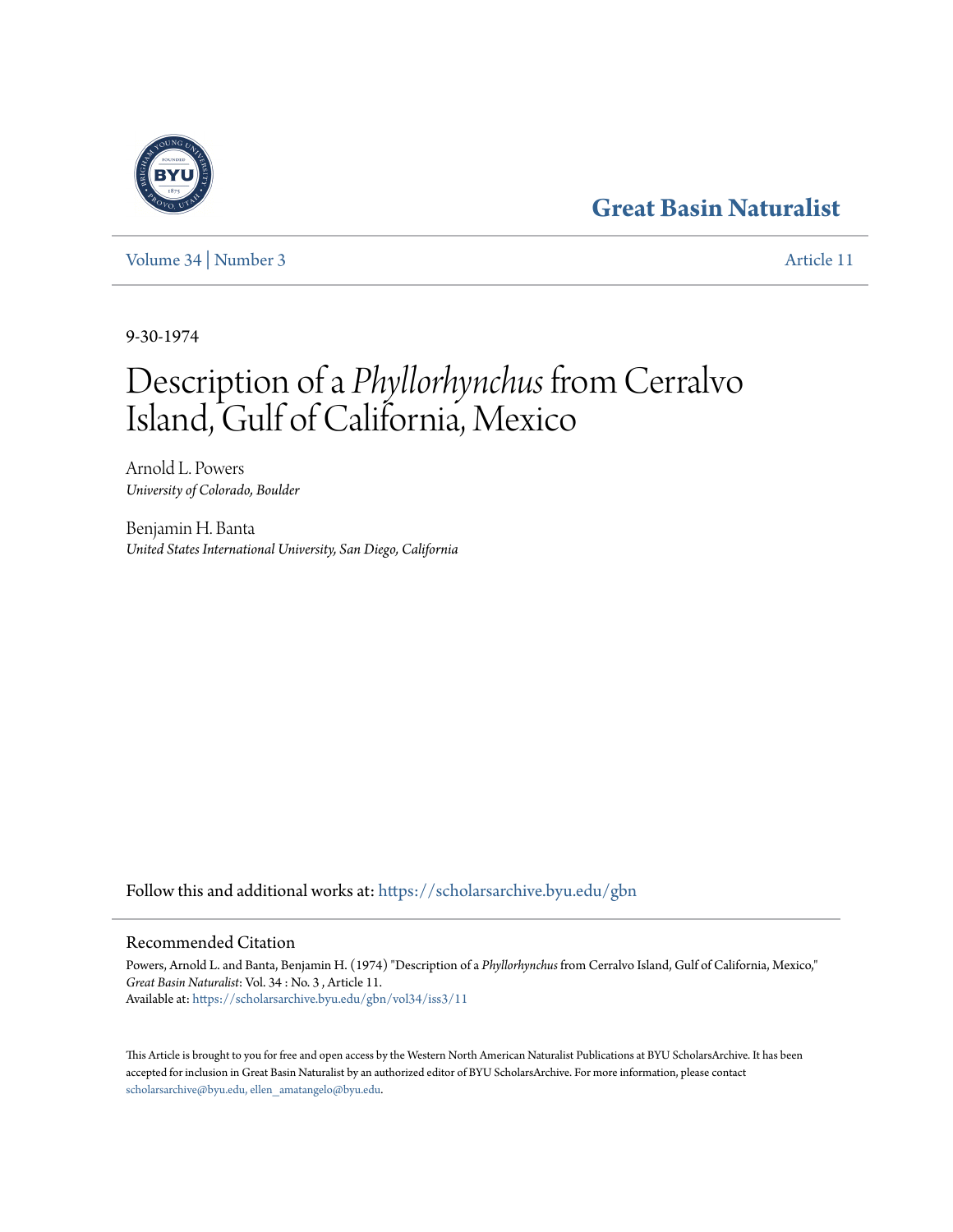# **[Great Basin Naturalist](https://scholarsarchive.byu.edu/gbn?utm_source=scholarsarchive.byu.edu%2Fgbn%2Fvol34%2Fiss3%2F11&utm_medium=PDF&utm_campaign=PDFCoverPages)**

[Volume 34](https://scholarsarchive.byu.edu/gbn/vol34?utm_source=scholarsarchive.byu.edu%2Fgbn%2Fvol34%2Fiss3%2F11&utm_medium=PDF&utm_campaign=PDFCoverPages) | [Number 3](https://scholarsarchive.byu.edu/gbn/vol34/iss3?utm_source=scholarsarchive.byu.edu%2Fgbn%2Fvol34%2Fiss3%2F11&utm_medium=PDF&utm_campaign=PDFCoverPages) [Article 11](https://scholarsarchive.byu.edu/gbn/vol34/iss3/11?utm_source=scholarsarchive.byu.edu%2Fgbn%2Fvol34%2Fiss3%2F11&utm_medium=PDF&utm_campaign=PDFCoverPages)

9-30-1974

# Description of a *Phyllorhynchus* from Cerralvo Island, Gulf of California, Mexico

Arnold L. Powers *University of Colorado, Boulder*

Benjamin H. Banta *United States International University, San Diego, California*

Follow this and additional works at: [https://scholarsarchive.byu.edu/gbn](https://scholarsarchive.byu.edu/gbn?utm_source=scholarsarchive.byu.edu%2Fgbn%2Fvol34%2Fiss3%2F11&utm_medium=PDF&utm_campaign=PDFCoverPages)

## Recommended Citation

Powers, Arnold L. and Banta, Benjamin H. (1974) "Description of a *Phyllorhynchus* from Cerralvo Island, Gulf of California, Mexico," *Great Basin Naturalist*: Vol. 34 : No. 3 , Article 11. Available at: [https://scholarsarchive.byu.edu/gbn/vol34/iss3/11](https://scholarsarchive.byu.edu/gbn/vol34/iss3/11?utm_source=scholarsarchive.byu.edu%2Fgbn%2Fvol34%2Fiss3%2F11&utm_medium=PDF&utm_campaign=PDFCoverPages)

This Article is brought to you for free and open access by the Western North American Naturalist Publications at BYU ScholarsArchive. It has been accepted for inclusion in Great Basin Naturalist by an authorized editor of BYU ScholarsArchive. For more information, please contact [scholarsarchive@byu.edu, ellen\\_amatangelo@byu.edu.](mailto:scholarsarchive@byu.edu,%20ellen_amatangelo@byu.edu)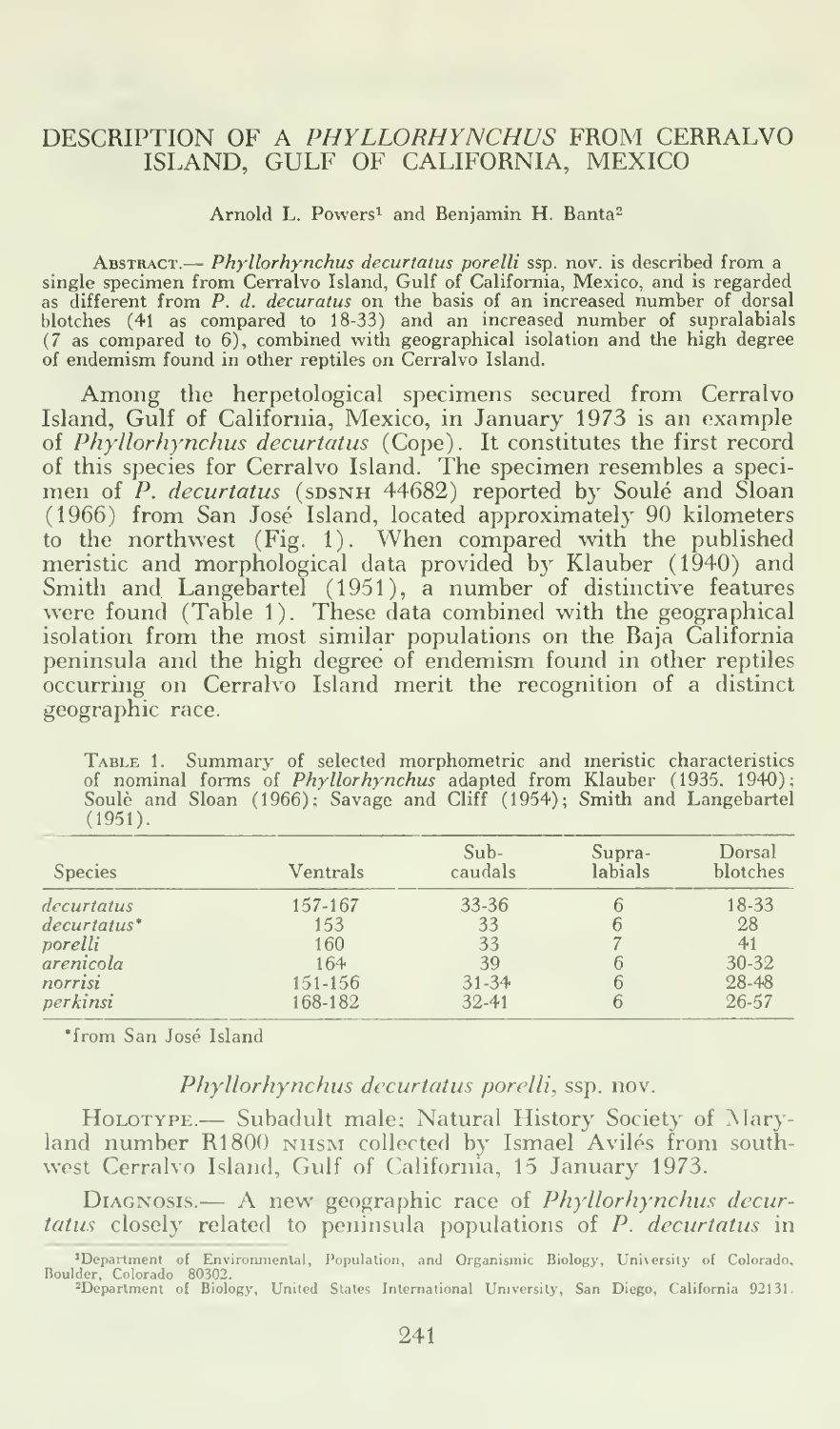#### DESCRIPTION OF A PHYLLORHYNCHUS FROM CERRALVO ISLAND, GULF OF CALIFORNIA, MEXICO

#### Arnold L. Powers<sup>1</sup> and Benjamin H. Banta<sup>2</sup>

ABSTRACT.— *Phyllorhynchus decurtatus porelli* ssp. nov. is described from a single specimen from Cerralvo Island, Gulf of California, Mexico, and is regarded as different from *P. d. decuratus* on the basis of an increase blotches (41 as compared to 18-33) and an increased number of supralabials (7 as compared to 6), combined with geographical isolation and the high degree of endemism found in other reptiles on Cerralvo Island.

Among the herpetological specimens secured from Cerralvo Island, Gulf of California, Mexico, in January 1973 is an example of Phyllorhynchus decurtatus (Cope). It constitutes the first record of this species for Cerralvo Island. The specimen resembles a specimen of *P. decurtatus* (sɒsNH 44682) reported by Soulé and Sloan — (1966) from San Jose Island, located approximately 90 kilometers to the northwest (Fig. 1). When compared with the published meristic and morphological data provided by Klauber (1940) and Smith and Langebartel (1951), <sup>a</sup> number of distinctive features were found (Table 1). These data combined with the geographical isolation from the most similar populations on the Baja California peninsula and the high degree of endemism found in other reptiles occurring on Cerralvo Island merit the recognition of a distinct geographic race.

TABLE 1. Summary of selected morphometric and meristic characteristics<br>of nominal forms of *Phyllorhynchus* adapted from Klauber (1935, 1940);<br>Soulè and Sloan (1966); Savage and Cliff (1954); Smith and Langebartel (1951).

| <b>Species</b>            | Ventrals | $Sub-$<br>caudals | Supra-<br>labials | Dorsal<br>blotches |
|---------------------------|----------|-------------------|-------------------|--------------------|
| decurtatus                | 157-167  | 33-36             |                   | 18-33              |
| $decurtatus$ <sup>*</sup> | 153      | 33                |                   | 28                 |
| porelli                   | 160      | 33                |                   | 41                 |
| arenicola                 | 164      | 39                |                   | 30-32              |
| norrisi                   | 151-156  | $31 - 34$         |                   | 28-48              |
| perkinsi                  | 168-182  | $32 - 41$         |                   | $26 - 57$          |

\*from San José Island

### Phyllorhynchus decurtatus porelli, ssp. nov.

HOLOTYPE.- Subadult male: Natural History Society of Maryland number R1800 NHSM collected by Ismael Avilés from southwest Cerralvo Island, Gulf of California, 15 January 1973.

DIAGNOSIS.— A new geographic race of *Phyllorhynchus decurtatus* closely related to peninsula populations of P. *decurtatus* in

<sup>&</sup>lt;sup>1</sup>Department of Environmental, Population, and Organismic Biology, University of Colorado, Boulder, Colorado 80302. United States International University, San Diego, California 92131.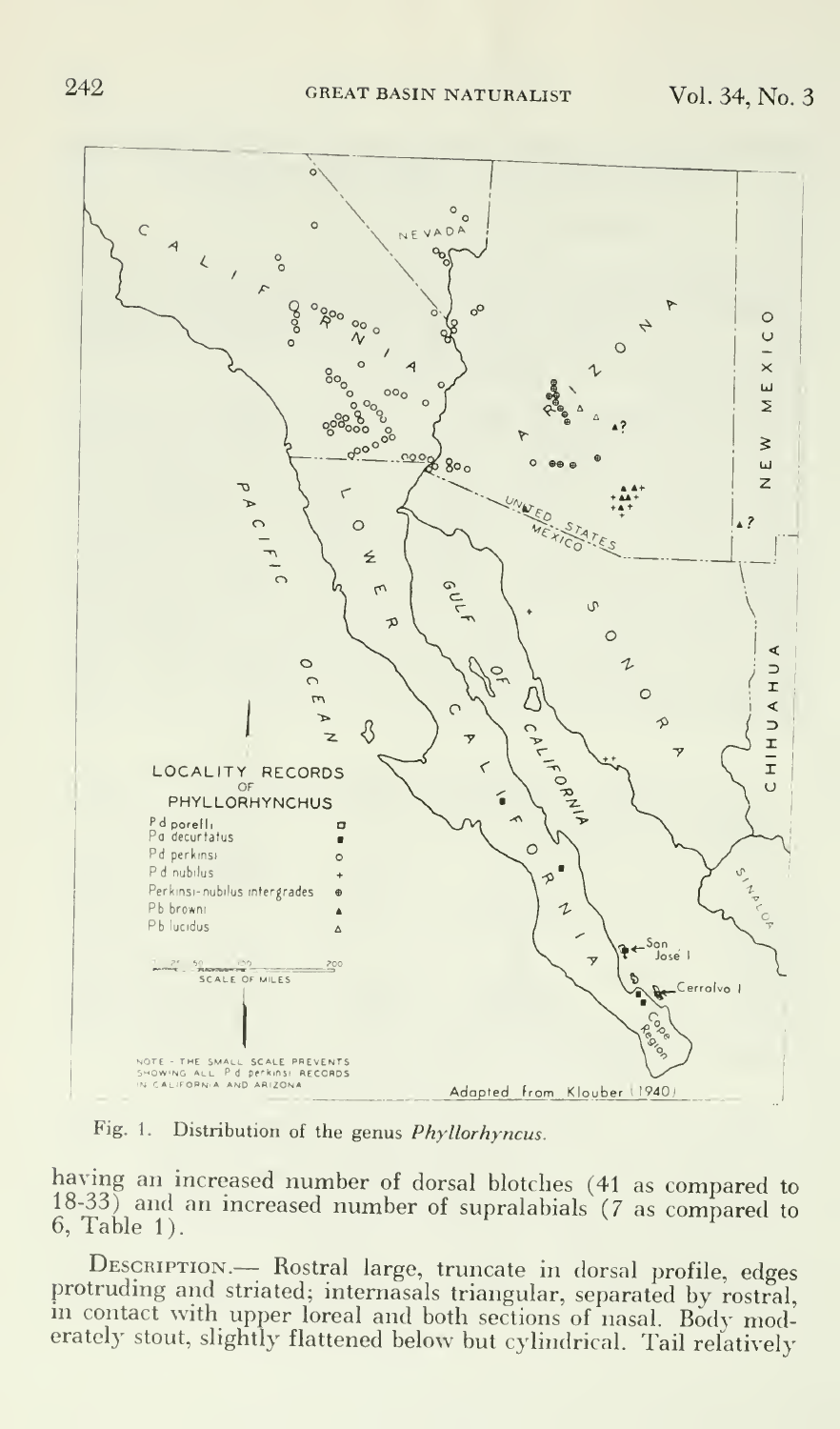

Fig. 1. Distribution of the genus Phyllorhyncus.

having an increased number of dorsal blotches (41 as compared to 18-33) and an increased number of supralabials (7 as compared to 6, Table 1).

DESCRIPTION.— Rostral large, truncate in dorsal profile, edges protruding and striated; intemasals triangular, separated by rostral, in contact with upper loreal and both sections of nasal. Body moderately stout, slightly flattened below but cylindrical. Tail relatively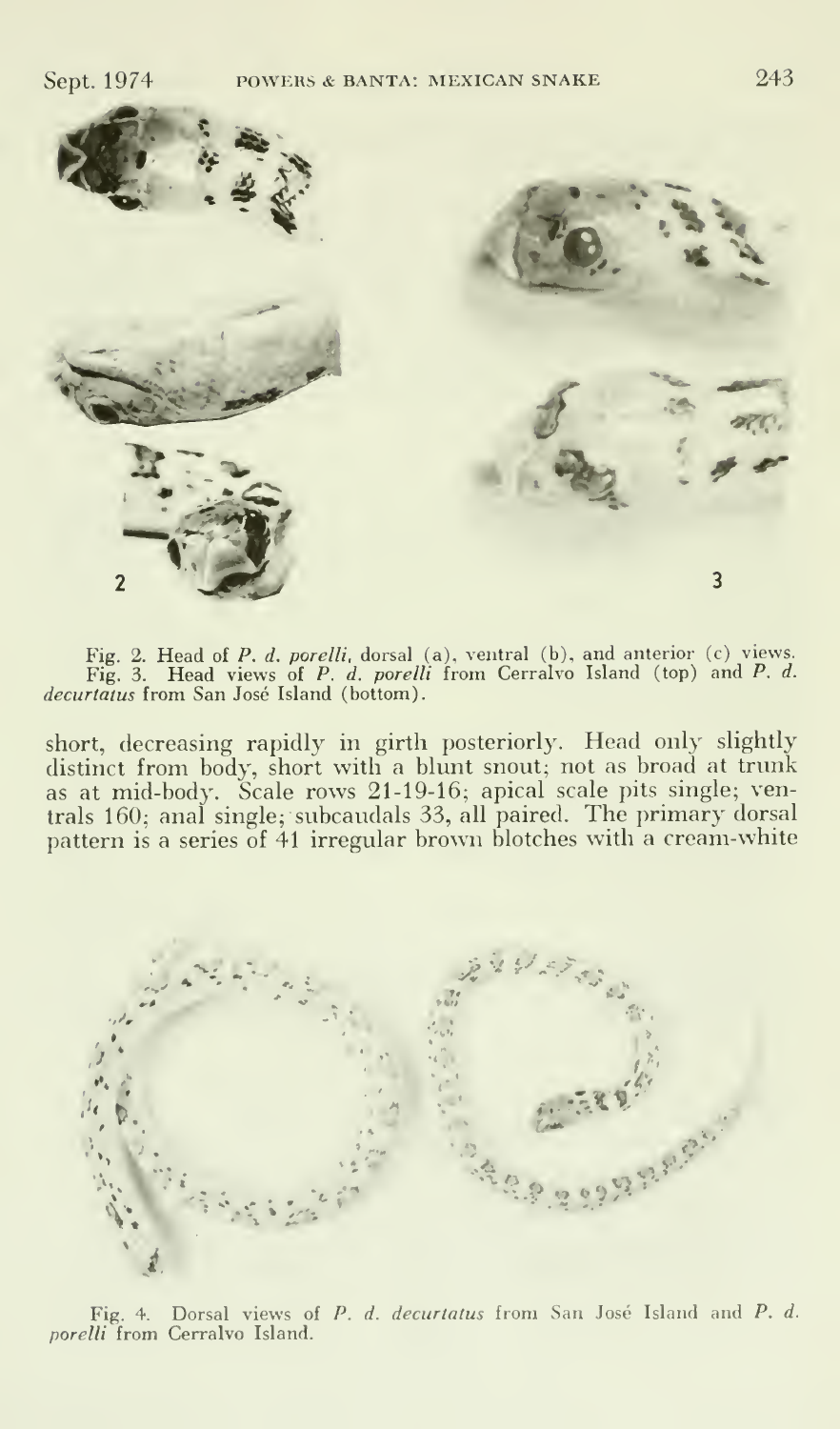

Fig. 2. Head of P. d. porelli, dorsal (a), ventral (b), and anterior (c) views.<br>Fig. 3. Head views of P. d. porelli from Cerralvo Island (top) and P. d.<br>decurtatus from San José Island (bottom).

short, decreasing rapidly in girth posteriorly. Head only slightly distinct from body, short with a blunt snout; not as broad at trunk as at mid-body. Scale rows 21-19-16; apical scale pits single; ventrals 160; anal single; subcaudals 33, all paired. The primary dorsal pattern is a series of 41 irregular brown blotches with a cream-white



Fig. 4. Dorsal views of P. d. decurtatus from San José Island and P. d. porelli from Cerralvo Island.